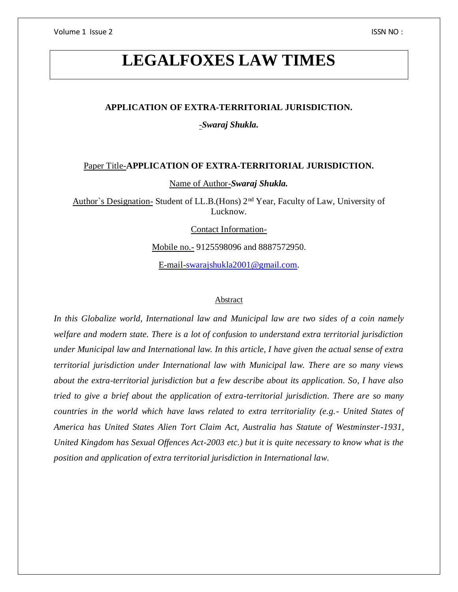Volume 1 Issue 2 ISSN NO :

# **LEGALFOXES LAW TIMES**

## **APPLICATION OF EXTRA-TERRITORIAL JURISDICTION.**

-*Swaraj Shukla.*

## Paper Title-**APPLICATION OF EXTRA-TERRITORIAL JURISDICTION.**

Name of Author-*Swaraj Shukla.*

Author`s Designation- Student of LL.B.(Hons) 2nd Year, Faculty of Law, University of Lucknow.

Contact Information-

Mobile no.- 9125598096 and 8887572950.

E-mail[-swarajshukla2001@gmail.com.](mailto:swarajshukla2001@gmail.com)

#### **Abstract**

*In this Globalize world, International law and Municipal law are two sides of a coin namely welfare and modern state. There is a lot of confusion to understand extra territorial jurisdiction under Municipal law and International law. In this article, I have given the actual sense of extra territorial jurisdiction under International law with Municipal law. There are so many views about the extra-territorial jurisdiction but a few describe about its application. So, I have also tried to give a brief about the application of extra-territorial jurisdiction. There are so many countries in the world which have laws related to extra territoriality (e.g.- United States of America has United States Alien Tort Claim Act, Australia has Statute of Westminster-1931, United Kingdom has Sexual Offences Act-2003 etc.) but it is quite necessary to know what is the position and application of extra territorial jurisdiction in International law.*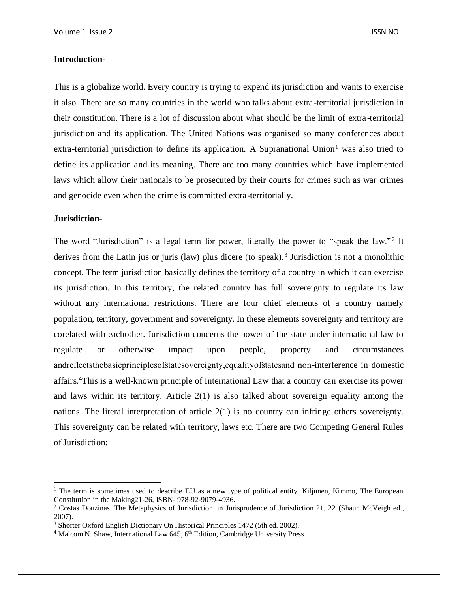#### **Introduction-**

This is a globalize world. Every country is trying to expend its jurisdiction and wants to exercise it also. There are so many countries in the world who talks about extra-territorial jurisdiction in their constitution. There is a lot of discussion about what should be the limit of extra -territorial jurisdiction and its application. The United Nations was organised so many conferences about extra-territorial jurisdiction to define its application. A Supranational Union<sup>1</sup> was also tried to define its application and its meaning. There are too many countries which have implemented laws which allow their nationals to be prosecuted by their courts for crimes such as war crimes and genocide even when the crime is committed extra-territorially.

## **Jurisdiction-**

 $\overline{a}$ 

The word "Jurisdiction" is a legal term for power, literally the power to "speak the law."<sup>2</sup> It derives from the Latin jus or juris (law) plus dicere (to speak).<sup>3</sup> Jurisdiction is not a monolithic concept. The term jurisdiction basically defines the territory of a country in which it can exercise its jurisdiction. In this territory, the related country has full sovereignty to regulate its law without any international restrictions. There are four chief elements of a country namely population, territory, government and sovereignty. In these elements sovereignty and territory are corelated with eachother. Jurisdiction concerns the power of the state under international law to regulate or otherwise impact upon people, property and circumstances andreflectsthebasicprinciplesofstatesovereignty,equalityofstatesand non-interference in domestic affairs.<sup>4</sup>This is a well-known principle of International Law that a country can exercise its power and laws within its territory. Article 2(1) is also talked about sovereign equality among the nations. The literal interpretation of article 2(1) is no country can infringe others sovereignty. This sovereignty can be related with territory, laws etc. There are two Competing General Rules of Jurisdiction:

<sup>&</sup>lt;sup>1</sup> The term is sometimes used to describe EU as a new type of political entity. Kiljunen, Kimmo, The European Constitution in the Making21-26, ISBN- 978-92-9079-4936.

<sup>&</sup>lt;sup>2</sup> Costas Douzinas, The Metaphysics of Jurisdiction, in Jurisprudence of Jurisdiction 21, 22 (Shaun McVeigh ed., 2007).

<sup>&</sup>lt;sup>3</sup> Shorter Oxford English Dictionary On Historical Principles 1472 (5th ed. 2002).

<sup>&</sup>lt;sup>4</sup> Malcom N. Shaw, International Law 645, 6<sup>th</sup> Edition, Cambridge University Press.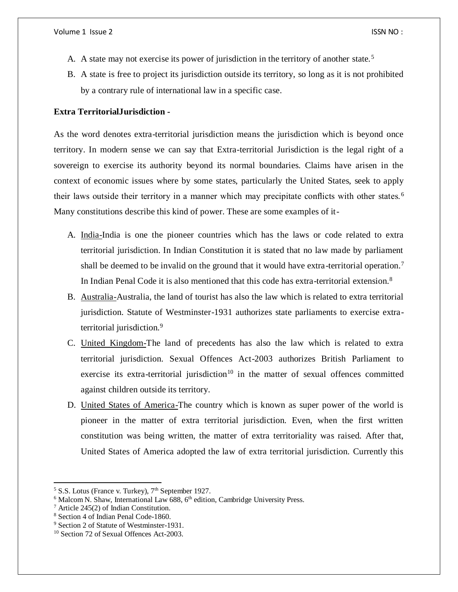- A. A state may not exercise its power of jurisdiction in the territory of another state.<sup>5</sup>
- B. A state is free to project its jurisdiction outside its territory, so long as it is not prohibited by a contrary rule of international law in a specific case.

#### **Extra TerritorialJurisdiction -**

As the word denotes extra-territorial jurisdiction means the jurisdiction which is beyond once territory. In modern sense we can say that Extra-territorial Jurisdiction is the legal right of a sovereign to exercise its authority beyond its normal boundaries. Claims have arisen in the context of economic issues where by some states, particularly the United States, seek to apply their laws outside their territory in a manner which may precipitate conflicts with other states. <sup>6</sup> Many constitutions describe this kind of power. These are some examples of it-

- A. India-India is one the pioneer countries which has the laws or code related to extra territorial jurisdiction. In Indian Constitution it is stated that no law made by parliament shall be deemed to be invalid on the ground that it would have extra-territorial operation.<sup>7</sup> In Indian Penal Code it is also mentioned that this code has extra-territorial extension.<sup>8</sup>
- B. Australia-Australia, the land of tourist has also the law which is related to extra territorial jurisdiction. Statute of Westminster-1931 authorizes state parliaments to exercise extraterritorial jurisdiction.<sup>9</sup>
- C. United Kingdom-The land of precedents has also the law which is related to extra territorial jurisdiction. Sexual Offences Act-2003 authorizes British Parliament to exercise its extra-territorial jurisdiction<sup>10</sup> in the matter of sexual offences committed against children outside its territory.
- D. United States of America-The country which is known as super power of the world is pioneer in the matter of extra territorial jurisdiction. Even, when the first written constitution was being written, the matter of extra territoriality was raised. After that, United States of America adopted the law of extra territorial jurisdiction. Currently this

 $5$  S.S. Lotus (France v. Turkey),  $7<sup>th</sup>$  September 1927.

 $6$  Malcom N. Shaw, International Law 688,  $6<sup>th</sup>$  edition, Cambridge University Press.

 $7$  Article 245(2) of Indian Constitution.

<sup>8</sup> Section 4 of Indian Penal Code-1860.

<sup>&</sup>lt;sup>9</sup> Section 2 of Statute of Westminster-1931.

<sup>10</sup> Section 72 of Sexual Offences Act-2003.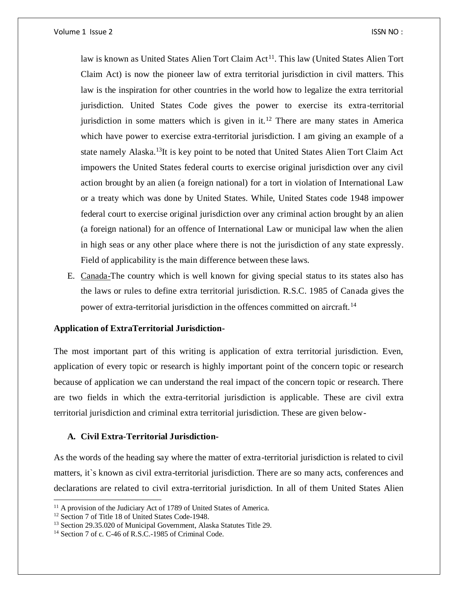law is known as United States Alien Tort Claim Act<sup>11</sup>. This law (United States Alien Tort Claim Act) is now the pioneer law of extra territorial jurisdiction in civil matters. This law is the inspiration for other countries in the world how to legalize the extra territorial jurisdiction. United States Code gives the power to exercise its extra-territorial jurisdiction in some matters which is given in it.<sup>12</sup> There are many states in America which have power to exercise extra-territorial jurisdiction. I am giving an example of a state namely Alaska.<sup>13</sup>It is key point to be noted that United States Alien Tort Claim Act impowers the United States federal courts to exercise original jurisdiction over any civil action brought by an alien (a foreign national) for a tort in violation of International Law or a treaty which was done by United States. While, United States code 1948 impower federal court to exercise original jurisdiction over any criminal action brought by an alien (a foreign national) for an offence of International Law or municipal law when the alien in high seas or any other place where there is not the jurisdiction of any state expressly. Field of applicability is the main difference between these laws.

E. Canada-The country which is well known for giving special status to its states also has the laws or rules to define extra territorial jurisdiction. R.S.C. 1985 of Canada gives the power of extra-territorial jurisdiction in the offences committed on aircraft.<sup>14</sup>

#### **Application of ExtraTerritorial Jurisdiction-**

The most important part of this writing is application of extra territorial jurisdiction. Even, application of every topic or research is highly important point of the concern topic or research because of application we can understand the real impact of the concern topic or research. There are two fields in which the extra-territorial jurisdiction is applicable. These are civil extra territorial jurisdiction and criminal extra territorial jurisdiction. These are given below-

## **A. Civil Extra-Territorial Jurisdiction-**

As the words of the heading say where the matter of extra-territorial jurisdiction is related to civil matters, it`s known as civil extra-territorial jurisdiction. There are so many acts, conferences and declarations are related to civil extra-territorial jurisdiction. In all of them United States Alien

l

<sup>&</sup>lt;sup>11</sup> A provision of the Judiciary Act of 1789 of United States of America.

<sup>&</sup>lt;sup>12</sup> Section 7 of Title 18 of United States Code-1948.

<sup>13</sup> Section 29.35.020 of Municipal Government, Alaska Statutes Title 29.

<sup>&</sup>lt;sup>14</sup> Section 7 of c. C-46 of R.S.C.-1985 of Criminal Code.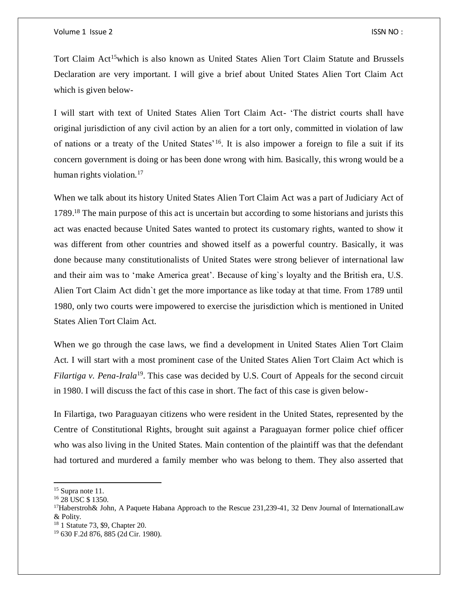Tort Claim Act<sup>15</sup>which is also known as United States Alien Tort Claim Statute and Brussels Declaration are very important. I will give a brief about United States Alien Tort Claim Act which is given below-

I will start with text of United States Alien Tort Claim Act- 'The district courts shall have original jurisdiction of any civil action by an alien for a tort only, committed in violation of law of nations or a treaty of the United States'<sup>16</sup>. It is also impower a foreign to file a suit if its concern government is doing or has been done wrong with him. Basically, this wrong would be a human rights violation. $17$ 

When we talk about its history United States Alien Tort Claim Act was a part of Judiciary Act of 1789.<sup>18</sup> The main purpose of this act is uncertain but according to some historians and jurists this act was enacted because United Sates wanted to protect its customary rights, wanted to show it was different from other countries and showed itself as a powerful country. Basically, it was done because many constitutionalists of United States were strong believer of international law and their aim was to 'make America great'. Because of king`s loyalty and the British era, U.S. Alien Tort Claim Act didn`t get the more importance as like today at that time. From 1789 until 1980, only two courts were impowered to exercise the jurisdiction which is mentioned in United States Alien Tort Claim Act.

When we go through the case laws, we find a development in United States Alien Tort Claim Act. I will start with a most prominent case of the United States Alien Tort Claim Act which is *Filartiga v. Pena-Irala*<sup>19</sup>. This case was decided by U.S. Court of Appeals for the second circuit in 1980. I will discuss the fact of this case in short. The fact of this case is given below-

In Filartiga, two Paraguayan citizens who were resident in the United States, represented by the Centre of Constitutional Rights, brought suit against a Paraguayan former police chief officer who was also living in the United States. Main contention of the plaintiff was that the defendant had tortured and murdered a family member who was belong to them. They also asserted that

<sup>&</sup>lt;sup>15</sup> Supra note 11.

<sup>&</sup>lt;sup>16</sup> 28 USC \$ 1350.

<sup>&</sup>lt;sup>17</sup>Haberstroh& John, A Paquete Habana Approach to the Rescue 231,239-41, 32 Denv Journal of InternationalLaw & Polity.

<sup>18</sup> 1 Statute 73, \$9, Chapter 20.

<sup>19</sup> 630 F.2d 876, 885 (2d Cir. 1980).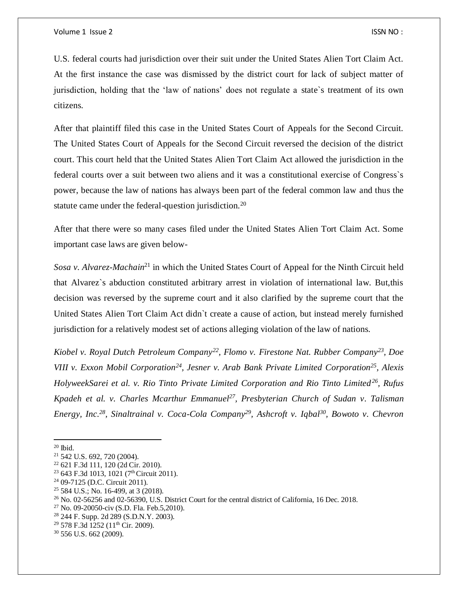U.S. federal courts had jurisdiction over their suit under the United States Alien Tort Claim Act. At the first instance the case was dismissed by the district court for lack of subject matter of jurisdiction, holding that the 'law of nations' does not regulate a state`s treatment of its own citizens.

After that plaintiff filed this case in the United States Court of Appeals for the Second Circuit. The United States Court of Appeals for the Second Circuit reversed the decision of the district court. This court held that the United States Alien Tort Claim Act allowed the jurisdiction in the federal courts over a suit between two aliens and it was a constitutional exercise of Congress`s power, because the law of nations has always been part of the federal common law and thus the statute came under the federal-question jurisdiction.<sup>20</sup>

After that there were so many cases filed under the United States Alien Tort Claim Act. Some important case laws are given below-

*Sosa v. Alvarez-Machain*<sup>21</sup> in which the United States Court of Appeal for the Ninth Circuit held that Alvarez`s abduction constituted arbitrary arrest in violation of international law. But,this decision was reversed by the supreme court and it also clarified by the supreme court that the United States Alien Tort Claim Act didn`t create a cause of action, but instead merely furnished jurisdiction for a relatively modest set of actions alleging violation of the law of nations.

*Kiobel v. Royal Dutch Petroleum Company<sup>22</sup>, Flomo v. Firestone Nat. Rubber Company<sup>23</sup>, Doe VIII v. Exxon Mobil Corporation<sup>24</sup>, Jesner v. Arab Bank Private Limited Corporation<sup>25</sup>, Alexis HolyweekSarei et al. v. Rio Tinto Private Limited Corporation and Rio Tinto Limited<sup>26</sup>, Rufus Kpadeh et al. v. Charles Mcarthur Emmanuel<sup>27</sup>, Presbyterian Church of Sudan v. Talisman Energy, Inc.<sup>28</sup>, Sinaltrainal v. Coca-Cola Company<sup>29</sup>, Ashcroft v. Iqbal<sup>30</sup>, Bowoto v. Chevron* 

 $20$  Ibid.

<sup>21</sup> 542 U.S. 692, 720 (2004).

<sup>22</sup> 621 F.3d 111, 120 (2d Cir. 2010).

<sup>&</sup>lt;sup>23</sup> 643 F.3d 1013, 1021 (7<sup>th</sup> Circuit 2011).

<sup>24</sup> 09-7125 (D.C. Circuit 2011).

<sup>25</sup> 584 U.S.; No. 16-499, at 3 (2018).

<sup>26</sup> No. 02-56256 and 02-56390, U.S. District Court for the central district of California, 16 Dec. 2018.

 $27$  No. 09-20050-civ (S.D. Fla. Feb.5,2010).

<sup>28</sup> 244 F. Supp. 2d 289 (S.D.N.Y. 2003).

<sup>&</sup>lt;sup>29</sup> 578 F.3d 1252 (11<sup>th</sup> Cir. 2009).

<sup>30</sup> 556 U.S. 662 (2009).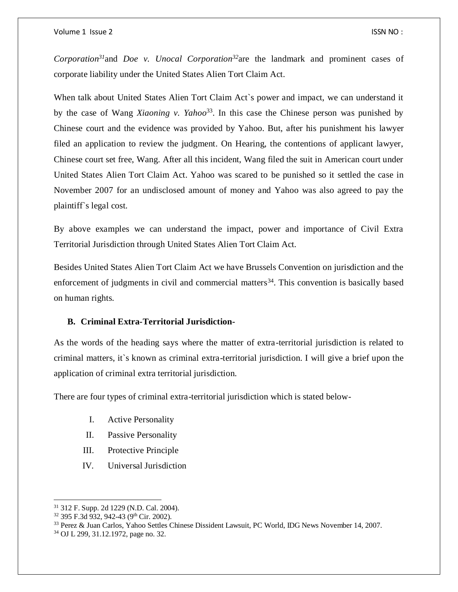*Corporation<sup>31</sup>*and *Doe v. Unocal Corporation<sup>32</sup>*are the landmark and prominent cases of corporate liability under the United States Alien Tort Claim Act.

When talk about United States Alien Tort Claim Act`s power and impact, we can understand it by the case of Wang *Xiaoning v. Yahoo*<sup>33</sup>. In this case the Chinese person was punished by Chinese court and the evidence was provided by Yahoo. But, after his punishment his lawyer filed an application to review the judgment. On Hearing, the contentions of applicant lawyer, Chinese court set free, Wang. After all this incident, Wang filed the suit in American court under United States Alien Tort Claim Act. Yahoo was scared to be punished so it settled the case in November 2007 for an undisclosed amount of money and Yahoo was also agreed to pay the plaintiff`s legal cost.

By above examples we can understand the impact, power and importance of Civil Extra Territorial Jurisdiction through United States Alien Tort Claim Act.

Besides United States Alien Tort Claim Act we have Brussels Convention on jurisdiction and the enforcement of judgments in civil and commercial matters<sup>34</sup>. This convention is basically based on human rights.

## **B. Criminal Extra-Territorial Jurisdiction-**

As the words of the heading says where the matter of extra-territorial jurisdiction is related to criminal matters, it`s known as criminal extra-territorial jurisdiction. I will give a brief upon the application of criminal extra territorial jurisdiction.

There are four types of criminal extra-territorial jurisdiction which is stated below-

- I. Active Personality
- II. Passive Personality
- III. Protective Principle
- IV. Universal Jurisdiction

l

<sup>31</sup> 312 F. Supp. 2d 1229 (N.D. Cal. 2004).

 $32$  395 F.3d 932, 942-43 (9<sup>th</sup> Cir. 2002).

<sup>33</sup> Perez & Juan Carlos, Yahoo Settles Chinese Dissident Lawsuit, PC World, IDG News November 14, 2007.

<sup>34</sup> OJ L 299, 31.12.1972, page no. 32.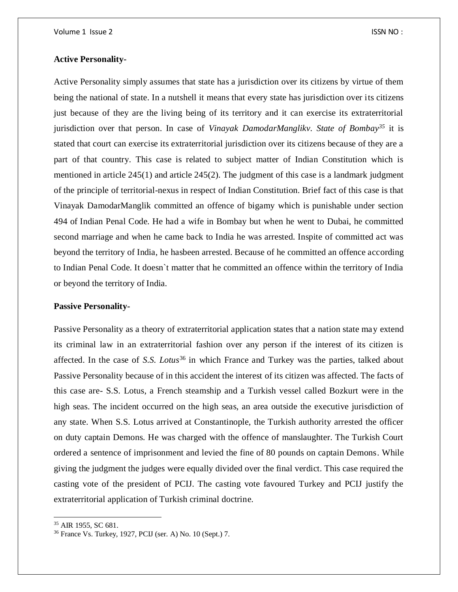#### **Active Personality-**

Active Personality simply assumes that state has a jurisdiction over its citizens by virtue of them being the national of state. In a nutshell it means that every state has jurisdiction over its citizens just because of they are the living being of its territory and it can exercise its extraterritorial jurisdiction over that person. In case of *Vinayak DamodarManglikv. State of Bombay<sup>35</sup>* it is stated that court can exercise its extraterritorial jurisdiction over its citizens because of they are a part of that country. This case is related to subject matter of Indian Constitution which is mentioned in article 245(1) and article 245(2). The judgment of this case is a landmark judgment of the principle of territorial-nexus in respect of Indian Constitution. Brief fact of this case is that Vinayak DamodarManglik committed an offence of bigamy which is punishable under section 494 of Indian Penal Code. He had a wife in Bombay but when he went to Dubai, he committed second marriage and when he came back to India he was arrested. Inspite of committed act was beyond the territory of India, he hasbeen arrested. Because of he committed an offence according to Indian Penal Code. It doesn`t matter that he committed an offence within the territory of India or beyond the territory of India.

## **Passive Personality-**

Passive Personality as a theory of extraterritorial application states that a nation state may extend its criminal law in an extraterritorial fashion over any person if the interest of its citizen is affected. In the case of *S.S. Lotus*<sup>36</sup> in which France and Turkey was the parties, talked about Passive Personality because of in this accident the interest of its citizen was affected. The facts of this case are- S.S. Lotus, a French steamship and a Turkish vessel called Bozkurt were in the high seas. The incident occurred on the high seas, an area outside the executive jurisdiction of any state. When S.S. Lotus arrived at Constantinople, the Turkish authority arrested the officer on duty captain Demons. He was charged with the offence of manslaughter. The Turkish Court ordered a sentence of imprisonment and levied the fine of 80 pounds on captain Demons. While giving the judgment the judges were equally divided over the final verdict. This case required the casting vote of the president of PCIJ. The casting vote favoured Turkey and PCIJ justify the extraterritorial application of Turkish criminal doctrine.

<sup>35</sup> AIR 1955, SC 681.

<sup>36</sup> France Vs. Turkey, 1927, PCIJ (ser. A) No. 10 (Sept.) 7.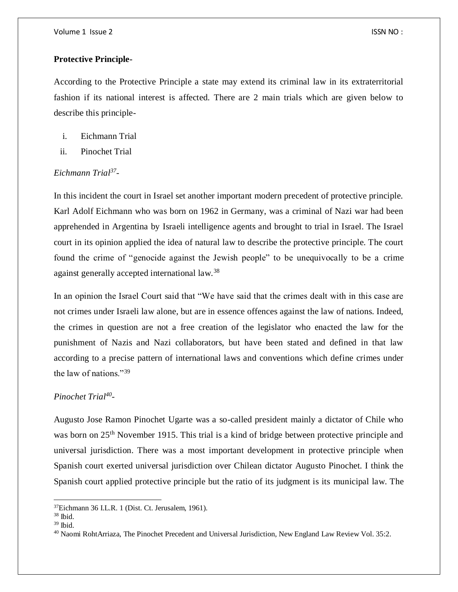### **Protective Principle-**

According to the Protective Principle a state may extend its criminal law in its extraterritorial fashion if its national interest is affected. There are 2 main trials which are given below to describe this principle-

- i. Eichmann Trial
- ii. Pinochet Trial

## *Eichmann Trial<sup>37</sup> -*

In this incident the court in Israel set another important modern precedent of protective principle. Karl Adolf Eichmann who was born on 1962 in Germany, was a criminal of Nazi war had been apprehended in Argentina by Israeli intelligence agents and brought to trial in Israel. The Israel court in its opinion applied the idea of natural law to describe the protective principle. The court found the crime of "genocide against the Jewish people" to be unequivocally to be a crime against generally accepted international law.<sup>38</sup>

In an opinion the Israel Court said that "We have said that the crimes dealt with in this case are not crimes under Israeli law alone, but are in essence offences against the law of nations. Indeed, the crimes in question are not a free creation of the legislator who enacted the law for the punishment of Nazis and Nazi collaborators, but have been stated and defined in that law according to a precise pattern of international laws and conventions which define crimes under the law of nations."<sup>39</sup>

## *Pinochet Trial<sup>40</sup> -*

Augusto Jose Ramon Pinochet Ugarte was a so-called president mainly a dictator of Chile who was born on 25<sup>th</sup> November 1915. This trial is a kind of bridge between protective principle and universal jurisdiction. There was a most important development in protective principle when Spanish court exerted universal jurisdiction over Chilean dictator Augusto Pinochet. I think the Spanish court applied protective principle but the ratio of its judgment is its municipal law. The

l

<sup>37</sup>Eichmann 36 I.L.R. 1 (Dist. Ct. Jerusalem, 1961).

 $38$  Ibid.

 $39$  Ibid.

<sup>40</sup> Naomi RohtArriaza, The Pinochet Precedent and Universal Jurisdiction, New England Law Review Vol. 35:2.